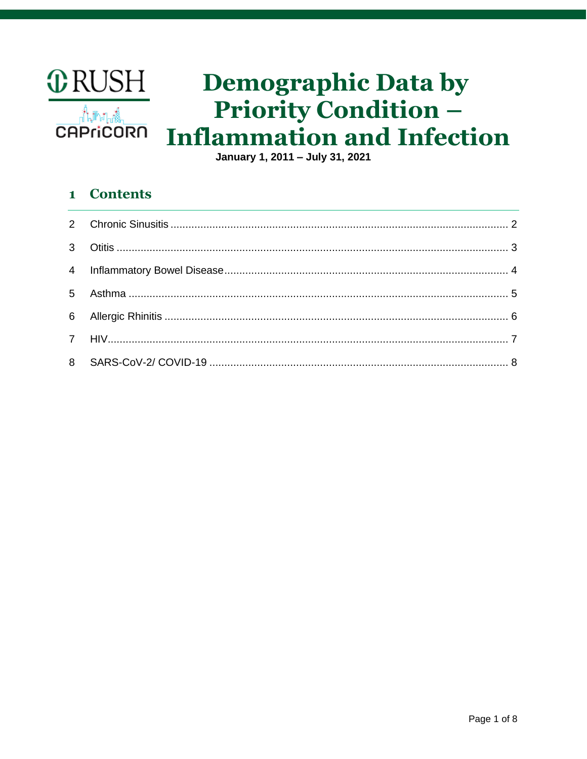

# **Demographic Data by Priority Condition -Inflammation and Infection**

January 1, 2011 - July 31, 2021

### **Contents**  $\mathbf{1}$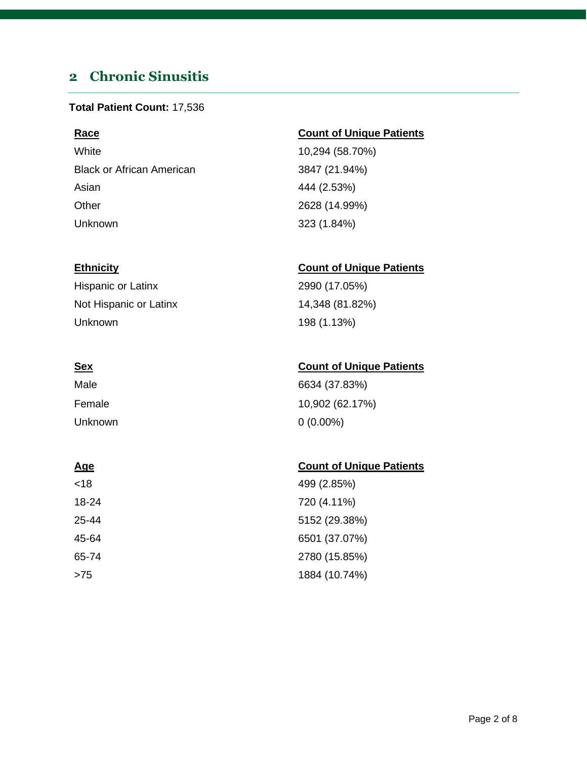# <span id="page-1-0"></span>**2 Chronic Sinusitis**

### **Total Patient Count:** 17,536

White 10,294 (58.70%) Black or African American 3847 (21.94%) Asian 444 (2.53%) Other 2628 (14.99%) Unknown 323 (1.84%)

Hispanic or Latinx 2990 (17.05%) Not Hispanic or Latinx 14,348 (81.82%) Unknown 198 (1.13%)

| Male    | 6634 (37.83%)   |
|---------|-----------------|
| Female  | 10,902 (62.17%) |
| Unknown | $0(0.00\%)$     |

### **Age** Count of Unique Patients

| <18   | 499 (2.85%)   |
|-------|---------------|
| 18-24 | 720 (4.11%)   |
| 25-44 | 5152 (29.38%) |
| 45-64 | 6501 (37.07%) |
| 65-74 | 2780 (15.85%) |
| >75   | 1884 (10.74%) |

### **Race Count of Unique Patients**

### **Ethnicity Count of Unique Patients**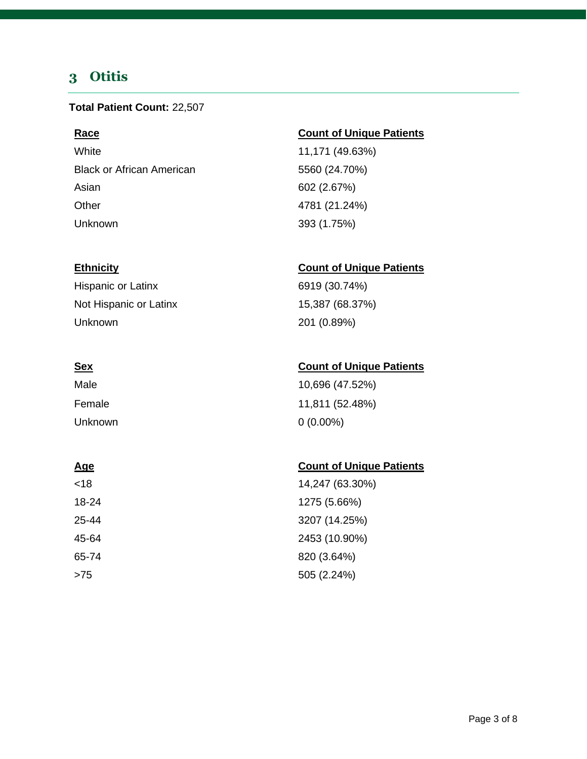# <span id="page-2-0"></span>**3 Otitis**

### **Total Patient Count:** 22,507

White 11,171 (49.63%) Black or African American 6560 (24.70%) Asian 602 (2.67%) Other 4781 (21.24%) Unknown 393 (1.75%)

Hispanic or Latinx 6919 (30.74%) Not Hispanic or Latinx 15,387 (68.37%) Unknown 201 (0.89%)

| Male    | 10,696 (47.52%) |
|---------|-----------------|
| Female  | 11,811 (52.48%) |
| Unknown | $0(0.00\%)$     |

### **Age Count of Unique Patients**

| <18   | 14,247 (63.30%) |
|-------|-----------------|
| 18-24 | 1275 (5.66%)    |
| 25-44 | 3207 (14.25%)   |
| 45-64 | 2453 (10.90%)   |
| 65-74 | 820 (3.64%)     |
| >75   | 505 (2.24%)     |

### **Race Count of Unique Patients**

### **Ethnicity Count of Unique Patients**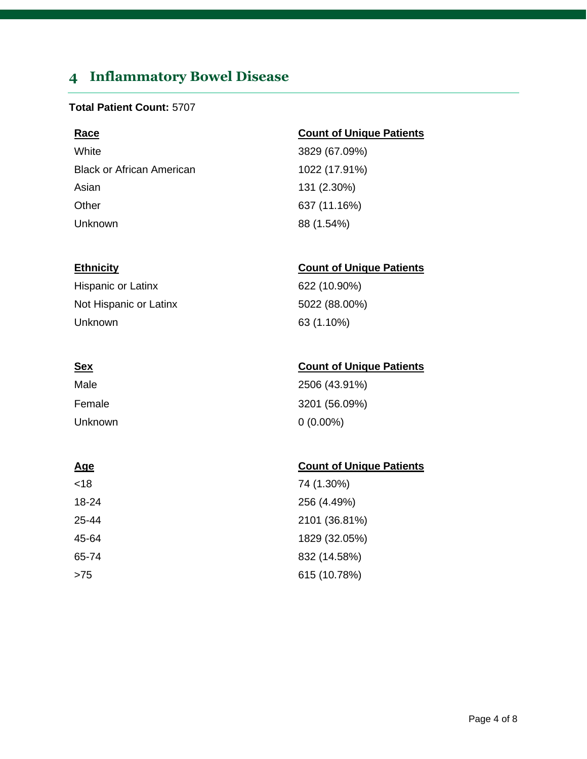# <span id="page-3-0"></span>**4 Inflammatory Bowel Disease**

### **Total Patient Count:** 5707

White 3829 (67.09%) Black or African American 1022 (17.91%) Asian 131 (2.30%) Other 637 (11.16%) Unknown 88 (1.54%)

Hispanic or Latinx 622 (10.90%) Not Hispanic or Latinx 5022 (88.00%) Unknown 63 (1.10%)

| Male    | 2506 (43.91%) |
|---------|---------------|
| Female  | 3201 (56.09%) |
| Unknown | $0(0.00\%)$   |

| <18   | 74 (1.30%)    |
|-------|---------------|
| 18-24 | 256 (4.49%)   |
| 25-44 | 2101 (36.81%) |
| 45-64 | 1829 (32.05%) |
| 65-74 | 832 (14.58%)  |
| >75   | 615 (10.78%)  |

### **Race Count of Unique Patients**

### **Ethnicity Count of Unique Patients**

### **Sex Count of Unique Patients**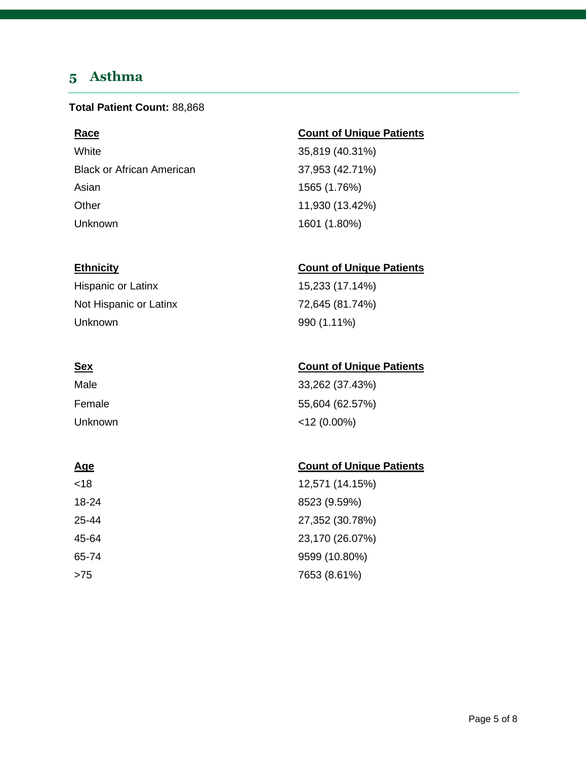# <span id="page-4-0"></span>**5 Asthma**

### **Total Patient Count:** 88,868

White 35,819 (40.31%) Black or African American 37,953 (42.71%) Asian 1565 (1.76%) Other 11,930 (13.42%) Unknown 1601 (1.80%)

Hispanic or Latinx 15,233 (17.14%) Not Hispanic or Latinx 72,645 (81.74%) Unknown 990 (1.11%)

| Male    | 33,262 (37.43%) |
|---------|-----------------|
| Female  | 55,604 (62.57%) |
| Unknown | $<$ 12 (0.00%)  |

### **Age** Count of Unique Patients

| <18   | 12,571 (14.15%) |
|-------|-----------------|
| 18-24 | 8523 (9.59%)    |
| 25-44 | 27,352 (30.78%) |
| 45-64 | 23,170 (26.07%) |
| 65-74 | 9599 (10.80%)   |
| >75   | 7653 (8.61%)    |

### **Race Count of Unique Patients**

### **Ethnicity Count of Unique Patients**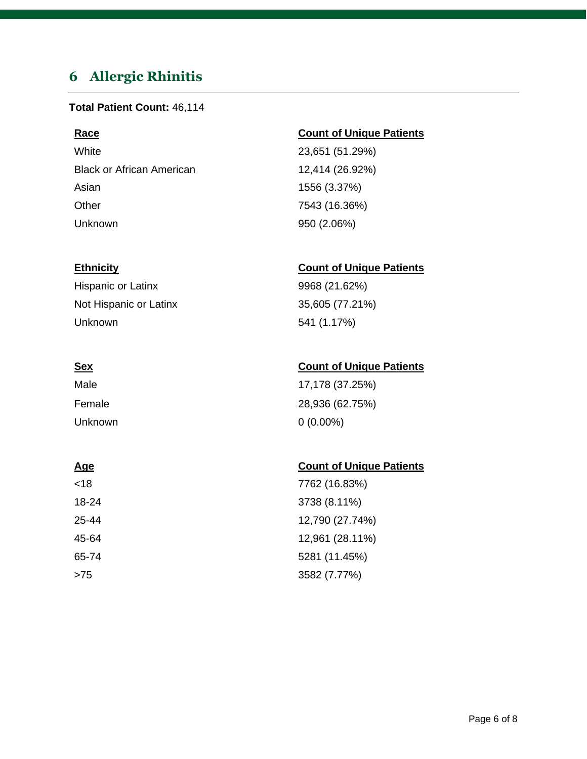# <span id="page-5-0"></span>**6 Allergic Rhinitis**

### **Total Patient Count:** 46,114

White 23,651 (51.29%) Black or African American 12,414 (26.92%) Asian 1556 (3.37%) Other 7543 (16.36%) Unknown 950 (2.06%)

Hispanic or Latinx 9968 (21.62%) Not Hispanic or Latinx 35,605 (77.21%) Unknown 541 (1.17%)

| Male    | 17,178 (37.25%) |
|---------|-----------------|
| Female  | 28,936 (62.75%) |
| Unknown | $0(0.00\%)$     |

| <18   | 7762 (16.83%)   |
|-------|-----------------|
| 18-24 | 3738 (8.11%)    |
| 25-44 | 12,790 (27.74%) |
| 45-64 | 12,961 (28.11%) |
| 65-74 | 5281 (11.45%)   |
| >75   | 3582 (7.77%)    |

### **Race Count of Unique Patients**

### **Ethnicity Count of Unique Patients**

### **Sex Count of Unique Patients**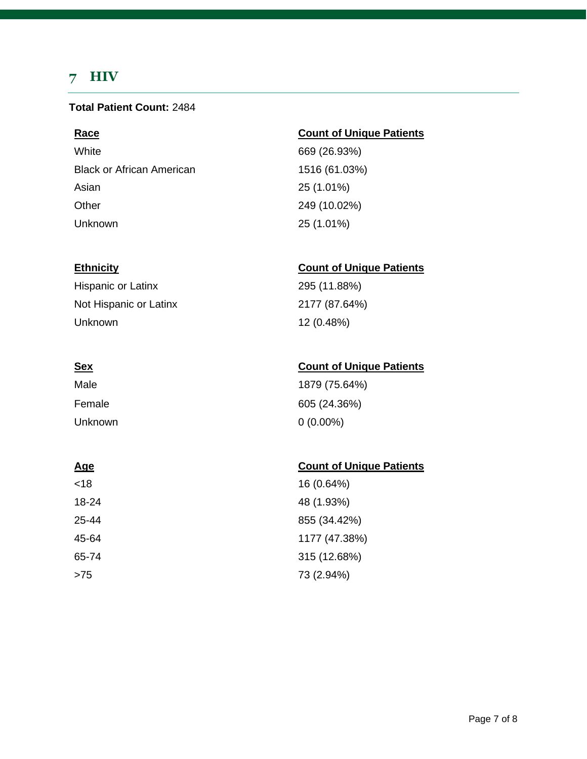# <span id="page-6-0"></span>**7 HIV**

### **Total Patient Count:** 2484

White 669 (26.93%) Black or African American 1516 (61.03%) Asian 25 (1.01%) Other 249 (10.02%) Unknown 25 (1.01%)

Hispanic or Latinx 295 (11.88%) Not Hispanic or Latinx 2177 (87.64%) Unknown 12 (0.48%)

| Male    | 1879 (75.64%) |
|---------|---------------|
| Female  | 605 (24.36%)  |
| Unknown | $0(0.00\%)$   |

<18 16 (0.64%) 18-24 48 (1.93%) 25-44 855 (34.42%) 45-64 1177 (47.38%) 65-74 315 (12.68%) >75 73 (2.94%)

### **Race Count of Unique Patients**

### **Ethnicity Count of Unique Patients**

### **Sex Count of Unique Patients**